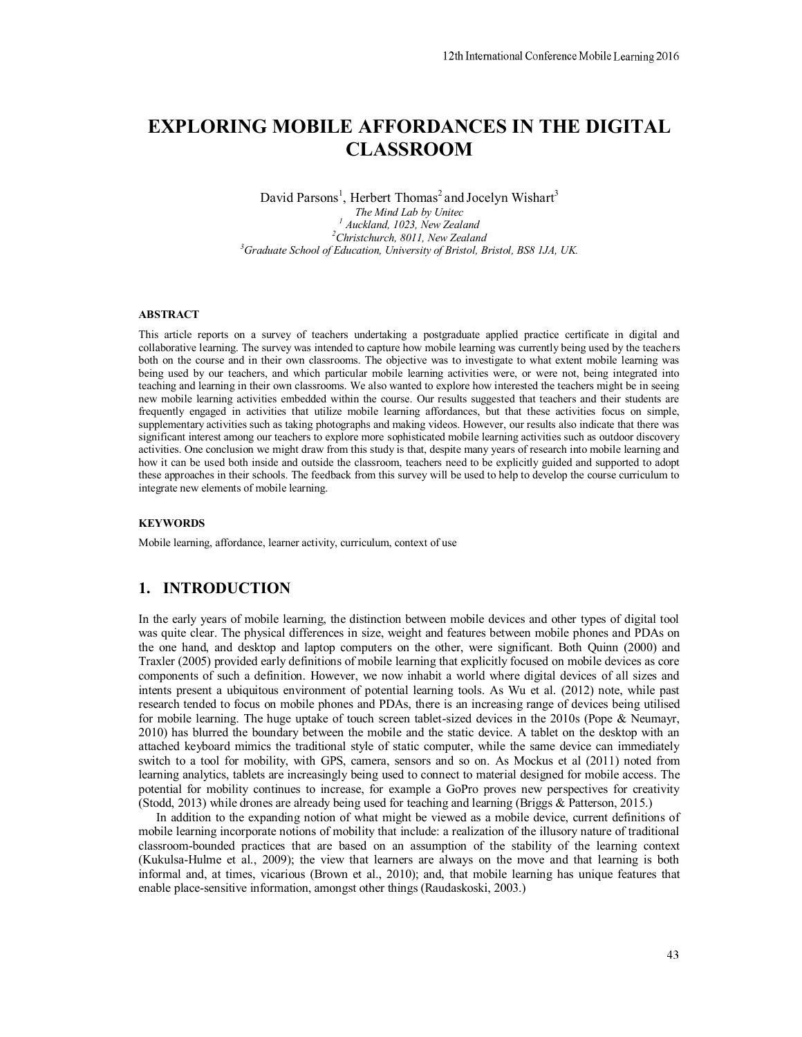# **EXPLORING MOBILE AFFORDANCES IN THE DIGITAL CLASSROOM**

David Parsons<sup>1</sup>, Herbert Thomas<sup>2</sup> and Jocelyn Wishart<sup>3</sup> *The Mind Lab by Unitec 1* <sup>*I</sup> Auckland, 1023, New Zealand*<br><sup>2</sup>Christehurgh, 8011, Ngu Zealan</sup> <sup>2</sup>Christchurch, 8011, New Zealand *Graduate School of Education, University of Bristol, Bristol, BS8 1JA, UK.* 

#### **ABSTRACT**

This article reports on a survey of teachers undertaking a postgraduate applied practice certificate in digital and collaborative learning. The survey was intended to capture how mobile learning was currently being used by the teachers both on the course and in their own classrooms. The objective was to investigate to what extent mobile learning was being used by our teachers, and which particular mobile learning activities were, or were not, being integrated into teaching and learning in their own classrooms. We also wanted to explore how interested the teachers might be in seeing new mobile learning activities embedded within the course. Our results suggested that teachers and their students are frequently engaged in activities that utilize mobile learning affordances, but that these activities focus on simple, supplementary activities such as taking photographs and making videos. However, our results also indicate that there was significant interest among our teachers to explore more sophisticated mobile learning activities such as outdoor discovery activities. One conclusion we might draw from this study is that, despite many years of research into mobile learning and how it can be used both inside and outside the classroom, teachers need to be explicitly guided and supported to adopt these approaches in their schools. The feedback from this survey will be used to help to develop the course curriculum to integrate new elements of mobile learning.

#### **KEYWORDS**

Mobile learning, affordance, learner activity, curriculum, context of use

#### **1. INTRODUCTION**

In the early years of mobile learning, the distinction between mobile devices and other types of digital tool was quite clear. The physical differences in size, weight and features between mobile phones and PDAs on the one hand, and desktop and laptop computers on the other, were significant. Both Quinn (2000) and Traxler (2005) provided early definitions of mobile learning that explicitly focused on mobile devices as core components of such a definition. However, we now inhabit a world where digital devices of all sizes and intents present a ubiquitous environment of potential learning tools. As Wu et al. (2012) note, while past research tended to focus on mobile phones and PDAs, there is an increasing range of devices being utilised for mobile learning. The huge uptake of touch screen tablet-sized devices in the 2010s (Pope & Neumayr, 2010) has blurred the boundary between the mobile and the static device. A tablet on the desktop with an attached keyboard mimics the traditional style of static computer, while the same device can immediately switch to a tool for mobility, with GPS, camera, sensors and so on. As Mockus et al (2011) noted from learning analytics, tablets are increasingly being used to connect to material designed for mobile access. The potential for mobility continues to increase, for example a GoPro proves new perspectives for creativity (Stodd, 2013) while drones are already being used for teaching and learning (Briggs & Patterson, 2015.)

In addition to the expanding notion of what might be viewed as a mobile device, current definitions of mobile learning incorporate notions of mobility that include: a realization of the illusory nature of traditional classroom-bounded practices that are based on an assumption of the stability of the learning context (Kukulsa-Hulme et al., 2009); the view that learners are always on the move and that learning is both informal and, at times, vicarious (Brown et al., 2010); and, that mobile learning has unique features that enable place-sensitive information, amongst other things (Raudaskoski, 2003.)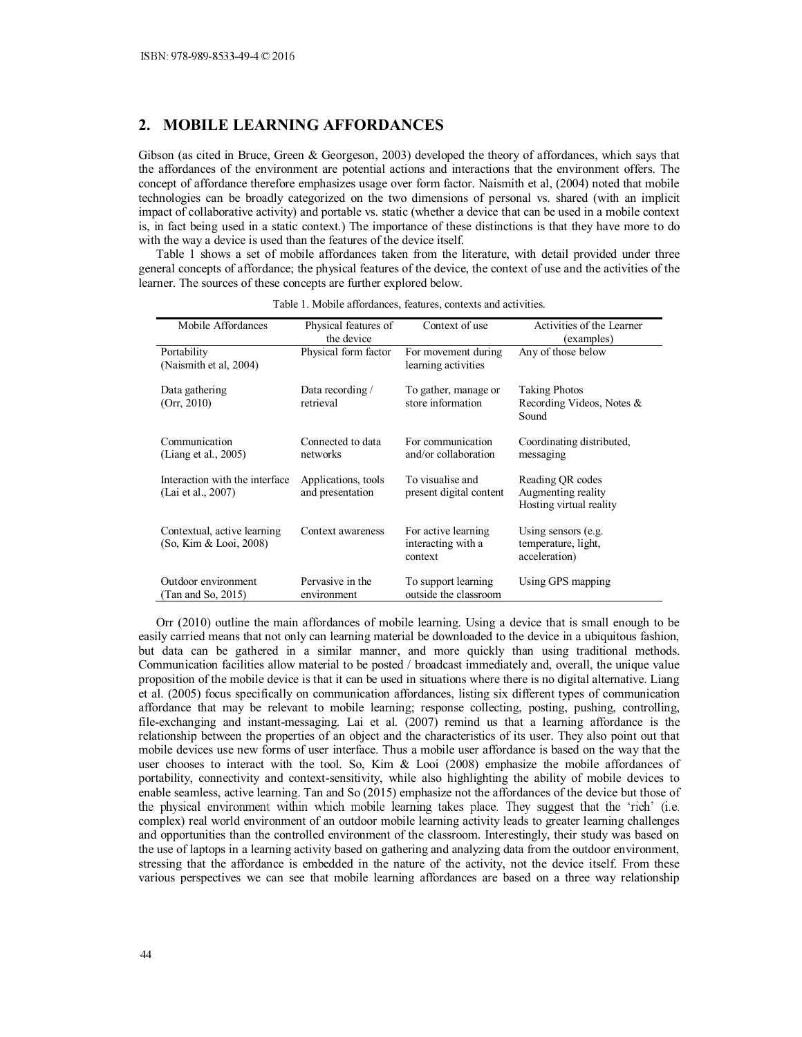# **2. MOBILE LEARNING AFFORDANCES**

Gibson (as cited in Bruce, Green & Georgeson, 2003) developed the theory of affordances, which says that the affordances of the environment are potential actions and interactions that the environment offers. The concept of affordance therefore emphasizes usage over form factor. Naismith et al, (2004) noted that mobile technologies can be broadly categorized on the two dimensions of personal vs. shared (with an implicit impact of collaborative activity) and portable vs. static (whether a device that can be used in a mobile context is, in fact being used in a static context.) The importance of these distinctions is that they have more to do with the way a device is used than the features of the device itself.

Table 1 shows a set of mobile affordances taken from the literature, with detail provided under three general concepts of affordance; the physical features of the device, the context of use and the activities of the learner. The sources of these concepts are further explored below.

| Mobile Affordances                                    | Physical features of<br>the device      | Context of use                                       | Activities of the Learner<br>(examples)                           |
|-------------------------------------------------------|-----------------------------------------|------------------------------------------------------|-------------------------------------------------------------------|
| Portability<br>(Naismith et al, 2004)                 | Physical form factor                    | For movement during<br>learning activities           | Any of those below                                                |
| Data gathering<br>(Orr, 2010)                         | Data recording /<br>retrieval           | To gather, manage or<br>store information            | <b>Taking Photos</b><br>Recording Videos, Notes &<br>Sound        |
| Communication<br>(Liang et al., $2005$ )              | Connected to data<br>networks           | For communication<br>and/or collaboration            | Coordinating distributed,<br>messaging                            |
| Interaction with the interface<br>(Lai et al., 2007)  | Applications, tools<br>and presentation | To visualise and<br>present digital content          | Reading QR codes<br>Augmenting reality<br>Hosting virtual reality |
| Contextual, active learning<br>(So, Kim & Looi, 2008) | Context awareness                       | For active learning<br>interacting with a<br>context | Using sensors $(e.g.$<br>temperature, light,<br>acceleration)     |
| Outdoor environment<br>(Tan and So, 2015)             | Pervasive in the<br>environment         | To support learning<br>outside the classroom         | Using GPS mapping                                                 |

Table 1. Mobile affordances, features, contexts and activities.

Orr (2010) outline the main affordances of mobile learning. Using a device that is small enough to be easily carried means that not only can learning material be downloaded to the device in a ubiquitous fashion, but data can be gathered in a similar manner, and more quickly than using traditional methods. Communication facilities allow material to be posted / broadcast immediately and, overall, the unique value proposition of the mobile device is that it can be used in situations where there is no digital alternative. Liang et al. (2005) focus specifically on communication affordances, listing six different types of communication affordance that may be relevant to mobile learning; response collecting, posting, pushing, controlling, file-exchanging and instant-messaging. Lai et al. (2007) remind us that a learning affordance is the relationship between the properties of an object and the characteristics of its user. They also point out that mobile devices use new forms of user interface. Thus a mobile user affordance is based on the way that the user chooses to interact with the tool. So, Kim & Looi (2008) emphasize the mobile affordances of portability, connectivity and context-sensitivity, while also highlighting the ability of mobile devices to enable seamless, active learning. Tan and So (2015) emphasize not the affordances of the device but those of the physical environment within which mobile learning takes place. They suggest that the 'rich' (i.e. complex) real world environment of an outdoor mobile learning activity leads to greater learning challenges and opportunities than the controlled environment of the classroom. Interestingly, their study was based on the use of laptops in a learning activity based on gathering and analyzing data from the outdoor environment, stressing that the affordance is embedded in the nature of the activity, not the device itself. From these various perspectives we can see that mobile learning affordances are based on a three way relationship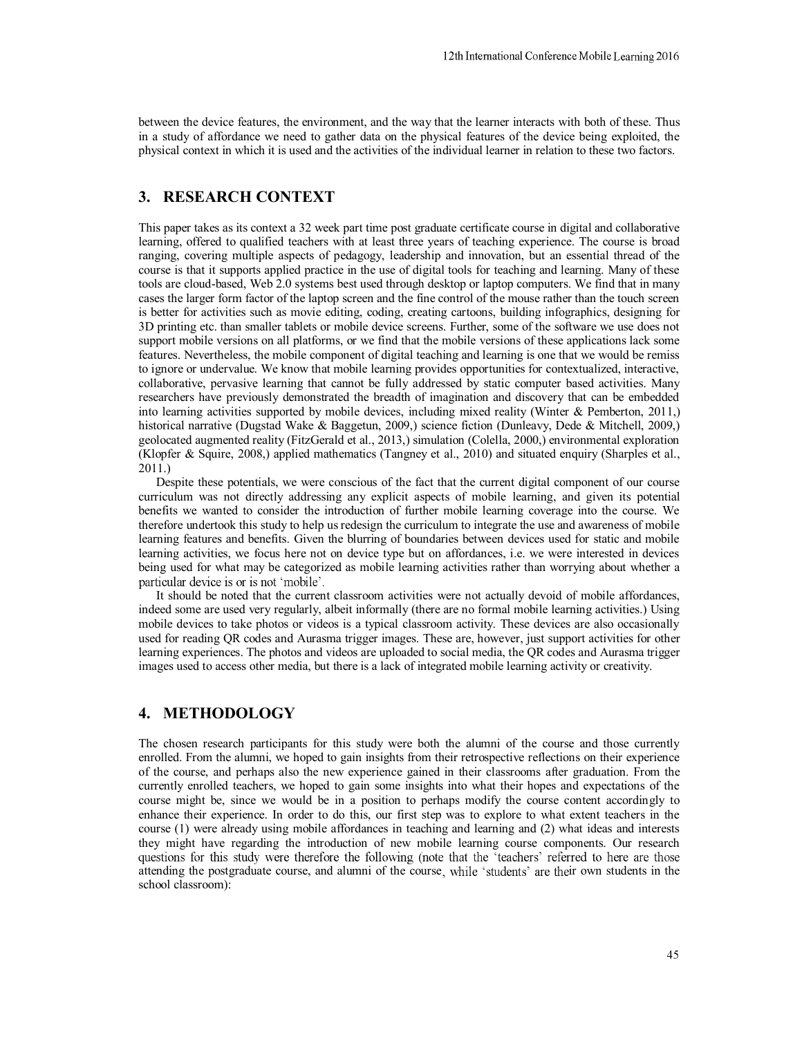between the device features, the environment, and the way that the learner interacts with both of these. Thus in a study of affordance we need to gather data on the physical features of the device being exploited, the physical context in which it is used and the activities of the individual learner in relation to these two factors.

# **3. RESEARCH CONTEXT**

This paper takes as its context a 32 week part time post graduate certificate course in digital and collaborative learning, offered to qualified teachers with at least three years of teaching experience. The course is broad ranging, covering multiple aspects of pedagogy, leadership and innovation, but an essential thread of the course is that it supports applied practice in the use of digital tools for teaching and learning. Many of these tools are cloud-based, Web 2.0 systems best used through desktop or laptop computers. We find that in many cases the larger form factor of the laptop screen and the fine control of the mouse rather than the touch screen is better for activities such as movie editing, coding, creating cartoons, building infographics, designing for 3D printing etc. than smaller tablets or mobile device screens. Further, some of the software we use does not support mobile versions on all platforms, or we find that the mobile versions of these applications lack some features. Nevertheless, the mobile component of digital teaching and learning is one that we would be remiss to ignore or undervalue. We know that mobile learning provides opportunities for contextualized, interactive, collaborative, pervasive learning that cannot be fully addressed by static computer based activities. Many researchers have previously demonstrated the breadth of imagination and discovery that can be embedded into learning activities supported by mobile devices, including mixed reality (Winter & Pemberton, 2011,) historical narrative (Dugstad Wake & Baggetun, 2009,) science fiction (Dunleavy, Dede & Mitchell, 2009,) geolocated augmented reality (FitzGerald et al., 2013,) simulation (Colella, 2000,) environmental exploration (Klopfer & Squire, 2008,) applied mathematics (Tangney et al., 2010) and situated enquiry (Sharples et al., 2011.)

Despite these potentials, we were conscious of the fact that the current digital component of our course curriculum was not directly addressing any explicit aspects of mobile learning, and given its potential benefits we wanted to consider the introduction of further mobile learning coverage into the course. We therefore undertook this study to help us redesign the curriculum to integrate the use and awareness of mobile learning features and benefits. Given the blurring of boundaries between devices used for static and mobile learning activities, we focus here not on device type but on affordances, i.e. we were interested in devices being used for what may be categorized as mobile learning activities rather than worrying about whether a particular device is or is not 'mobile'.

It should be noted that the current classroom activities were not actually devoid of mobile affordances, indeed some are used very regularly, albeit informally (there are no formal mobile learning activities.) Using mobile devices to take photos or videos is a typical classroom activity. These devices are also occasionally used for reading QR codes and Aurasma trigger images. These are, however, just support activities for other learning experiences. The photos and videos are uploaded to social media, the QR codes and Aurasma trigger images used to access other media, but there is a lack of integrated mobile learning activity or creativity.

# **4. METHODOLOGY**

The chosen research participants for this study were both the alumni of the course and those currently enrolled. From the alumni, we hoped to gain insights from their retrospective reflections on their experience of the course, and perhaps also the new experience gained in their classrooms after graduation. From the currently enrolled teachers, we hoped to gain some insights into what their hopes and expectations of the course might be, since we would be in a position to perhaps modify the course content accordingly to enhance their experience. In order to do this, our first step was to explore to what extent teachers in the course (1) were already using mobile affordances in teaching and learning and (2) what ideas and interests they might have regarding the introduction of new mobile learning course components. Our research questions for this study were therefore the following (note that the 'teachers' referred to here are those attending the postgraduate course, and alumni of the course, while 'students' are their own students in the school classroom):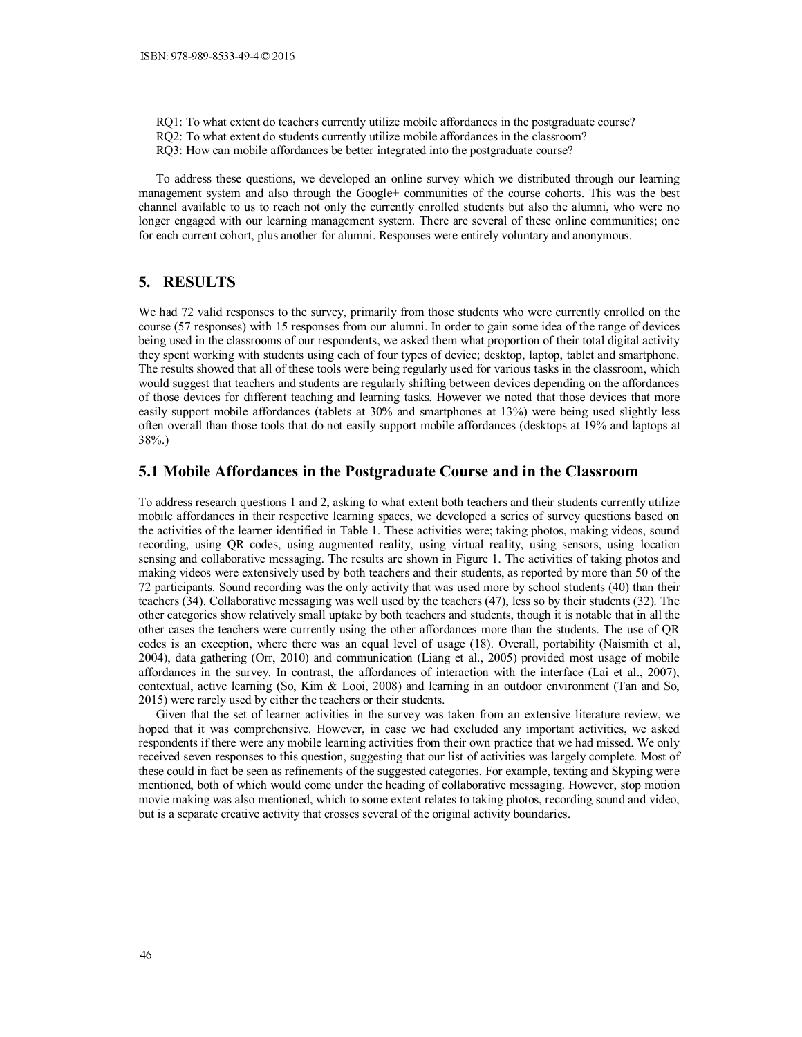- RQ1: To what extent do teachers currently utilize mobile affordances in the postgraduate course?
- RQ2: To what extent do students currently utilize mobile affordances in the classroom?
- RQ3: How can mobile affordances be better integrated into the postgraduate course?

To address these questions, we developed an online survey which we distributed through our learning management system and also through the Google+ communities of the course cohorts. This was the best channel available to us to reach not only the currently enrolled students but also the alumni, who were no longer engaged with our learning management system. There are several of these online communities; one for each current cohort, plus another for alumni. Responses were entirely voluntary and anonymous.

## **5. RESULTS**

We had 72 valid responses to the survey, primarily from those students who were currently enrolled on the course (57 responses) with 15 responses from our alumni. In order to gain some idea of the range of devices being used in the classrooms of our respondents, we asked them what proportion of their total digital activity they spent working with students using each of four types of device; desktop, laptop, tablet and smartphone. The results showed that all of these tools were being regularly used for various tasks in the classroom, which would suggest that teachers and students are regularly shifting between devices depending on the affordances of those devices for different teaching and learning tasks. However we noted that those devices that more easily support mobile affordances (tablets at 30% and smartphones at 13%) were being used slightly less often overall than those tools that do not easily support mobile affordances (desktops at 19% and laptops at 38%.)

#### **5.1 Mobile Affordances in the Postgraduate Course and in the Classroom**

To address research questions 1 and 2, asking to what extent both teachers and their students currently utilize mobile affordances in their respective learning spaces, we developed a series of survey questions based on the activities of the learner identified in Table 1. These activities were; taking photos, making videos, sound recording, using QR codes, using augmented reality, using virtual reality, using sensors, using location sensing and collaborative messaging. The results are shown in Figure 1. The activities of taking photos and making videos were extensively used by both teachers and their students, as reported by more than 50 of the 72 participants. Sound recording was the only activity that was used more by school students (40) than their teachers (34). Collaborative messaging was well used by the teachers (47), less so by their students (32). The other categories show relatively small uptake by both teachers and students, though it is notable that in all the other cases the teachers were currently using the other affordances more than the students. The use of QR codes is an exception, where there was an equal level of usage (18). Overall, portability (Naismith et al, 2004), data gathering (Orr, 2010) and communication (Liang et al., 2005) provided most usage of mobile affordances in the survey. In contrast, the affordances of interaction with the interface (Lai et al., 2007), contextual, active learning (So, Kim & Looi, 2008) and learning in an outdoor environment (Tan and So, 2015) were rarely used by either the teachers or their students.

Given that the set of learner activities in the survey was taken from an extensive literature review, we hoped that it was comprehensive. However, in case we had excluded any important activities, we asked respondents if there were any mobile learning activities from their own practice that we had missed. We only received seven responses to this question, suggesting that our list of activities was largely complete. Most of these could in fact be seen as refinements of the suggested categories. For example, texting and Skyping were mentioned, both of which would come under the heading of collaborative messaging. However, stop motion movie making was also mentioned, which to some extent relates to taking photos, recording sound and video, but is a separate creative activity that crosses several of the original activity boundaries.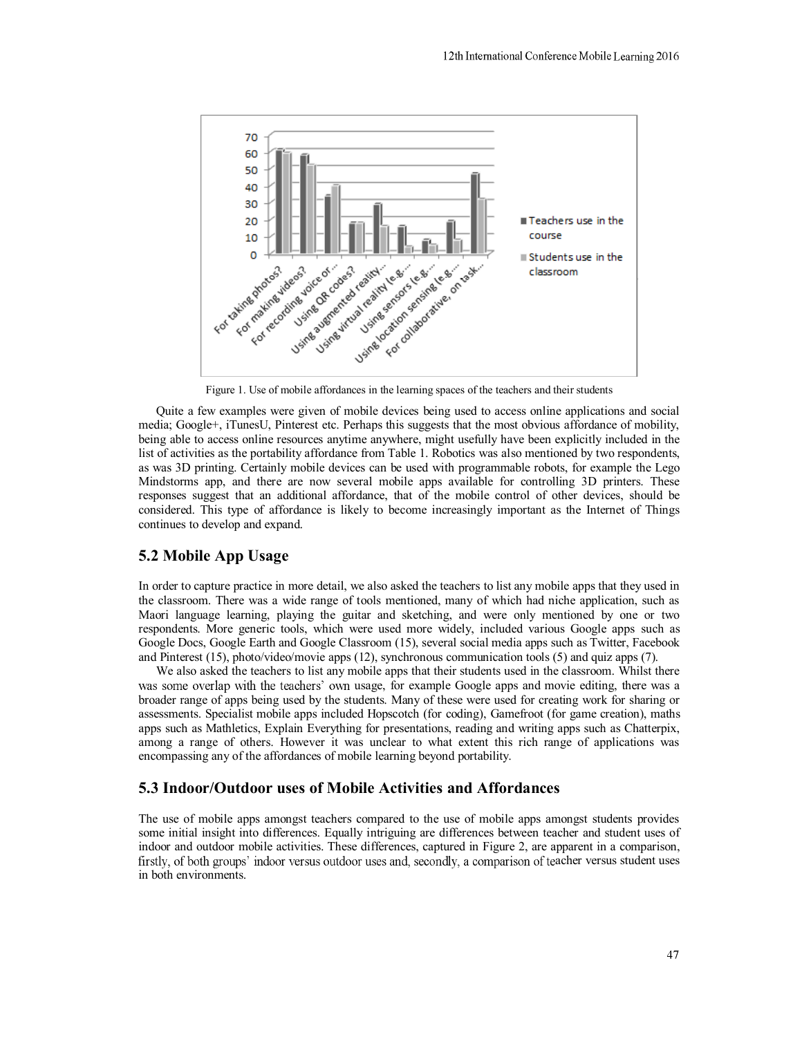

Figure 1. Use of mobile affordances in the learning spaces of the teachers and their students

Quite a few examples were given of mobile devices being used to access online applications and social media; Google+, iTunesU, Pinterest etc. Perhaps this suggests that the most obvious affordance of mobility, being able to access online resources anytime anywhere, might usefully have been explicitly included in the list of activities as the portability affordance from Table 1. Robotics was also mentioned by two respondents, as was 3D printing. Certainly mobile devices can be used with programmable robots, for example the Lego Mindstorms app, and there are now several mobile apps available for controlling 3D printers. These responses suggest that an additional affordance, that of the mobile control of other devices, should be considered. This type of affordance is likely to become increasingly important as the Internet of Things continues to develop and expand.

#### **5.2 Mobile App Usage**

In order to capture practice in more detail, we also asked the teachers to list any mobile apps that they used in the classroom. There was a wide range of tools mentioned, many of which had niche application, such as Maori language learning, playing the guitar and sketching, and were only mentioned by one or two respondents. More generic tools, which were used more widely, included various Google apps such as Google Docs, Google Earth and Google Classroom (15), several social media apps such as Twitter, Facebook and Pinterest (15), photo/video/movie apps (12), synchronous communication tools (5) and quiz apps (7).

We also asked the teachers to list any mobile apps that their students used in the classroom. Whilst there was some overlap with the teachers' own usage, for example Google apps and movie editing, there was a broader range of apps being used by the students. Many of these were used for creating work for sharing or assessments. Specialist mobile apps included Hopscotch (for coding), Gamefroot (for game creation), maths apps such as Mathletics, Explain Everything for presentations, reading and writing apps such as Chatterpix, among a range of others. However it was unclear to what extent this rich range of applications was encompassing any of the affordances of mobile learning beyond portability.

#### **5.3 Indoor/Outdoor uses of Mobile Activities and Affordances**

The use of mobile apps amongst teachers compared to the use of mobile apps amongst students provides some initial insight into differences. Equally intriguing are differences between teacher and student uses of indoor and outdoor mobile activities. These differences, captured in Figure 2, are apparent in a comparison, firstly, of both groups' indoor versus outdoor uses and, secondly, a comparison of teacher versus student uses in both environments.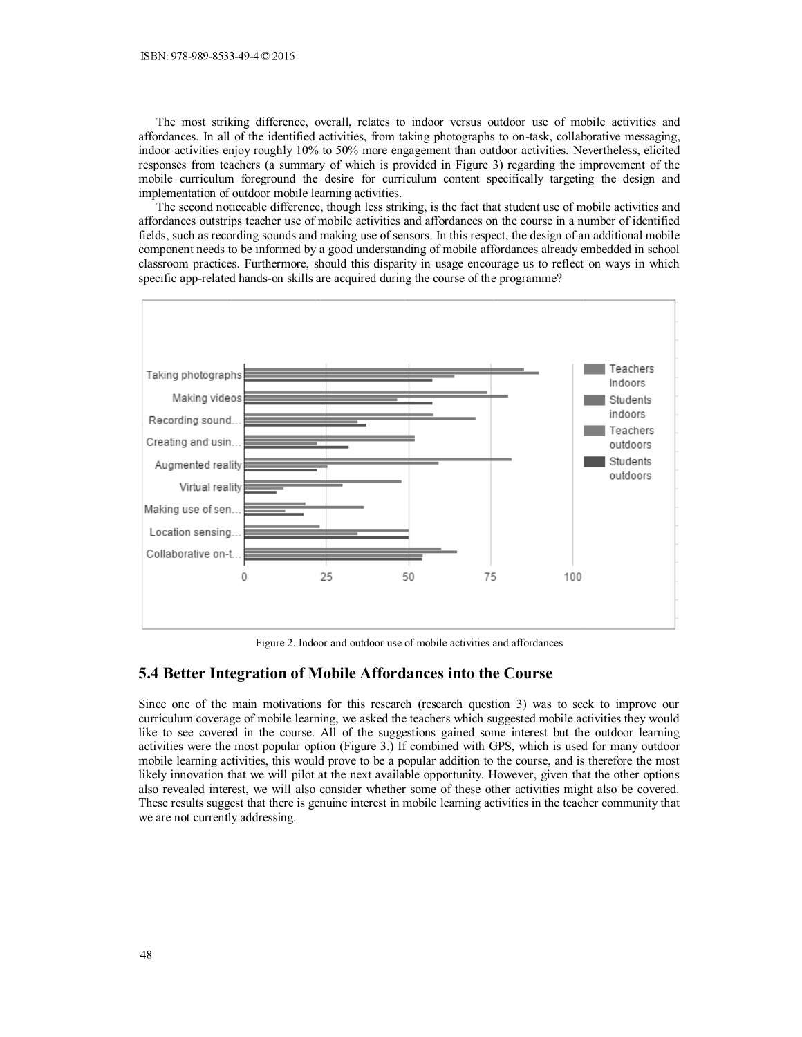The most striking difference, overall, relates to indoor versus outdoor use of mobile activities and affordances. In all of the identified activities, from taking photographs to on-task, collaborative messaging, indoor activities enjoy roughly 10% to 50% more engagement than outdoor activities. Nevertheless, elicited responses from teachers (a summary of which is provided in Figure 3) regarding the improvement of the mobile curriculum foreground the desire for curriculum content specifically targeting the design and implementation of outdoor mobile learning activities.

The second noticeable difference, though less striking, is the fact that student use of mobile activities and affordances outstrips teacher use of mobile activities and affordances on the course in a number of identified fields, such as recording sounds and making use of sensors. In this respect, the design of an additional mobile component needs to be informed by a good understanding of mobile affordances already embedded in school classroom practices. Furthermore, should this disparity in usage encourage us to reflect on ways in which specific app-related hands-on skills are acquired during the course of the programme?



Figure 2. Indoor and outdoor use of mobile activities and affordances

#### **5.4 Better Integration of Mobile Affordances into the Course**

Since one of the main motivations for this research (research question 3) was to seek to improve our curriculum coverage of mobile learning, we asked the teachers which suggested mobile activities they would like to see covered in the course. All of the suggestions gained some interest but the outdoor learning activities were the most popular option (Figure 3.) If combined with GPS, which is used for many outdoor mobile learning activities, this would prove to be a popular addition to the course, and is therefore the most likely innovation that we will pilot at the next available opportunity. However, given that the other options also revealed interest, we will also consider whether some of these other activities might also be covered. These results suggest that there is genuine interest in mobile learning activities in the teacher community that we are not currently addressing.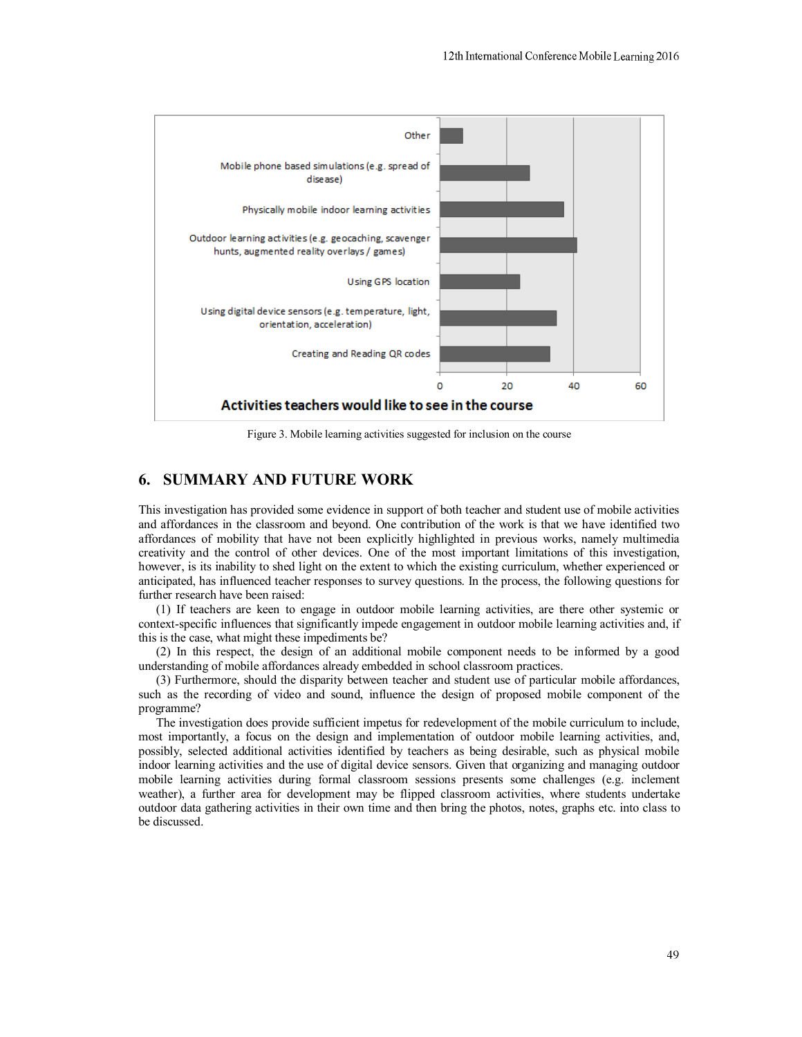

Figure 3. Mobile learning activities suggested for inclusion on the course

# **6. SUMMARY AND FUTURE WORK**

This investigation has provided some evidence in support of both teacher and student use of mobile activities and affordances in the classroom and beyond. One contribution of the work is that we have identified two affordances of mobility that have not been explicitly highlighted in previous works, namely multimedia creativity and the control of other devices. One of the most important limitations of this investigation, however, is its inability to shed light on the extent to which the existing curriculum, whether experienced or anticipated, has influenced teacher responses to survey questions. In the process, the following questions for further research have been raised:

(1) If teachers are keen to engage in outdoor mobile learning activities, are there other systemic or context-specific influences that significantly impede engagement in outdoor mobile learning activities and, if this is the case, what might these impediments be?

(2) In this respect, the design of an additional mobile component needs to be informed by a good understanding of mobile affordances already embedded in school classroom practices.

(3) Furthermore, should the disparity between teacher and student use of particular mobile affordances, such as the recording of video and sound, influence the design of proposed mobile component of the programme?

The investigation does provide sufficient impetus for redevelopment of the mobile curriculum to include, most importantly, a focus on the design and implementation of outdoor mobile learning activities, and, possibly, selected additional activities identified by teachers as being desirable, such as physical mobile indoor learning activities and the use of digital device sensors. Given that organizing and managing outdoor mobile learning activities during formal classroom sessions presents some challenges (e.g. inclement weather), a further area for development may be flipped classroom activities, where students undertake outdoor data gathering activities in their own time and then bring the photos, notes, graphs etc. into class to be discussed.